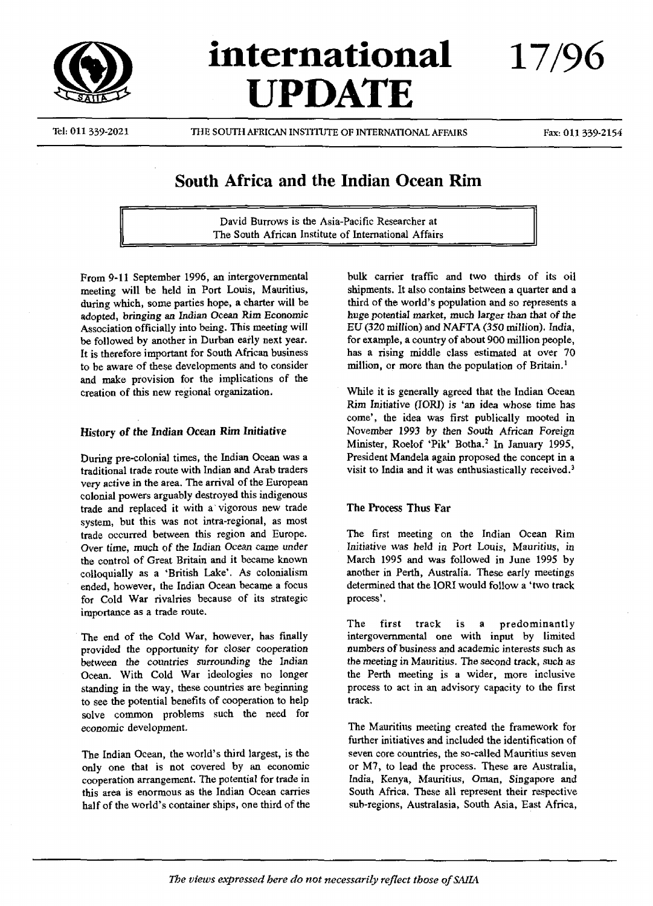

# **international UPDATE**

Tel: 011 339-2021 THE SOUTH AFRICAN INSTITUTE OF INTERNATIONAL AFFAIRS Fax: 011 339-2154

# South Africa and the Indian Ocean Rim

David Burrows is the Asia-Pacific Researcher at The South African Institute of International Affairs

From 9-11 September 1996, an intergovernmental meeting will be held in Port Louis, Mauritius, during which, some parties hope, a charter will be adopted, bringing an Indian Ocean Rim Economic Association officially into being. This meeting will be followed by another in Durban early next year. It is therefore important for South African business to be aware of these developments and to consider and make provision for the implications of the creation of this new regional organization.

# History of the Indian Ocean Rim Initiative

During pre-colonial times, the Indian Ocean was a traditional trade route with Indian and Arab traders very active in the area. The arrival of the European colonial powers arguably destroyed this indigenous trade and replaced it with a vigorous new trade system, but this was not intra-regional, as most trade occurred between this region and Europe. Over time, much of the Indian Ocean came under the control of Great Britain and it became known colloquially as a 'British Lake'. As colonialism ended, however, the Indian Ocean became a focus for Cold War rivalries because of its strategic importance as a trade route.

The end of the Cold War, however, has finally provided the opportunity for closer cooperation between the countries surrounding the Indian Ocean. With Cold War ideologies no longer standing in the way, these countries are beginning to see the potential benefits of cooperation to help solve common problems such the need for economic development.

The Indian Ocean, the world's third largest, is the only one that is not covered by an economic cooperation arrangement. The potential for trade in this area is enormous as the Indian Ocean carries half of the world's container ships, one third of the bulk carrier traffic and two thirds of its oil shipments. It also contains between a quarter and a third of the world's population and so represents a huge potential market, much larger than that of the EU (320 million) and NAFTA (350 million). India, for example, a country of about 900 million people, has a rising middle class estimated at over 70 million, or more than the population of Britain.<sup>1</sup>

While it is generally agreed that the Indian Ocean Rim Initiative (IORI) is \*an idea whose time has come', the idea was first publically mooted in November 1993 by then South African Foreign Minister, Roelof 'Pik' Botha.<sup>2</sup> In January 1995, President Mandela again proposed the concept in a visit to India and it was enthusiastically received.<sup>3</sup>

# The Process Thus Far

The first meeting on the Indian Ocean Rim Initiative was held in Port Louis, Mauritius, in March 1995 and was followed in June 1995 by another in Perth, Australia. These early meetings determined that the IORI would follow a 'two track process'.

The first track is a predominantly intergovernmental one with input by limited numbers of business and academic interests such as the meeting in Mauritius. The second track, such as the Perth meeting is a wider, more inclusive process to act in an advisory capacity to the first track.

The Mauritius meeting created the framework for further initiatives and included the identification of seven core countries, the so-called Mauritius seven or M7, to lead the process. These are Australia, India, Kenya, Mauritius, Oman, Singapore and South Africa. These all represent their respective sub-regions, Australasia, South Asia, East Africa,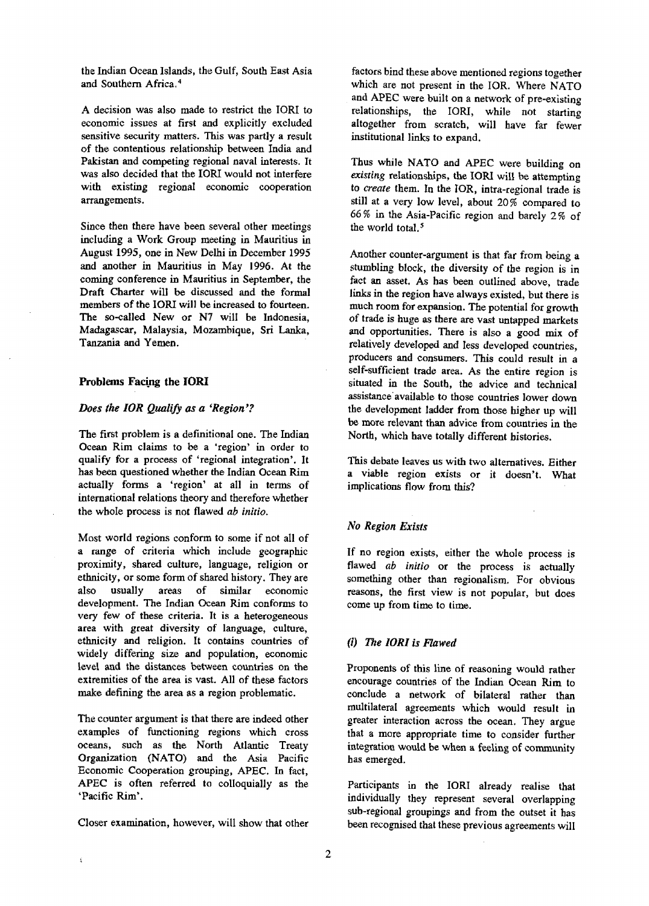the Indian Ocean Islands, the Gulf, South East Asia and Southern Africa.<sup>4</sup>

A decision was also made to restrict the IORI to economic issues at first and explicitly excluded sensitive security matters. This was partly a result of the contentious relationship between India and Pakistan and competing regional naval interests. It was also decided that the IORI would not interfere with existing regional economic cooperation arrangements.

Since then there have been several other meetings including a Work Group meeting in Mauritius in August 1995, one in New Delhi in December 1995 and another in Mauritius in May 1996. At the coming conference in Mauritius in September, the Draft Charter will be discussed and the formal members of the IORI will be increased to fourteen. The so-called New or N7 will be Indonesia, Madagascar, Malaysia, Mozambique, Sri Lanka, Tanzania and Yemen.

#### Problems Facing the IORI

#### *Does (he IOR Qualify as a 'Region\*?*

The first problem is a definitional one. The Indian Ocean Rim claims to be a 'region' in order to qualify for a process of 'regional integration'. It has been questioned whether the Indian Ocean Rim actually forms a 'region' at all in terms of international relations theory and therefore whether the whole process is not flawed *ab initio.*

Most world regions conform to some if not all of a range of criteria which include geographic proximity, shared culture, language, religion or ethnicity, or some form of shared history. They are also usually areas of similar economic development. The Indian Ocean Rim conforms to very few of these criteria. It is a heterogeneous area with great diversity of language, culture, ethnicity and religion. It contains countries of widely differing size and population, economic level and the distances between countries on the extremities of the area is vast. All of these factors make defining the area as a region problematic.

The counter argument is that there are indeed other examples of functioning regions which cross oceans, such as the North Atlantic Treaty Organization (NATO) and the Asia Pacific Economic Cooperation grouping, APEC. hi fact, APEC is often referred to colloquially as the 'Pacific Rim'.

Closer examination, however, will show that other

ś.

factors bind these above mentioned regions together which are not present in the IOR. Where NATO and APEC were built on a network of pre-existing relationships, the IORI, while not starting altogether from scratch, will have far fewer institutional links to expand.

Thus while NATO and APEC were building on *existing* relationships, the IORI will be attempting to *create* them. In the IOR, intra-regional trade is still at a very low level, about 20% compared to 66% in the Asia-Pacific region and barely *2%* of the world total.<sup>5</sup>

Another counter-argument is that far from being a stumbling block, the diversity of the region is in fact an asset. As has been outlined above, trade links in the region have always existed, but there is much room for expansion. The potential for growth of trade is huge as there are vast untapped markets and opportunities. There is also a good mix of relatively developed and less developed countries, producers and consumers. This could result in a self-sufficient trade area. As the entire region is situated in the South, the advice and technical assistance available to those countries lower down the development ladder from those higher up will be more relevant than advice from countries in the North, which have totally different histories.

This debate leaves us with two alternatives. Either a viable region exists or it doesn't. What implications flow from this?

# *No Region Exists*

If no region exists, either the whole process is flawed *ab initio* or the process is actually something other than regionalism. For obvious reasons, the first view is not popular, but does come up from time to time.

# *(i) The IORI is Flawed*

Proponents of this line of reasoning would rather encourage countries of the Indian Ocean Rim to conclude a network of bilateral rather than multilateral agreements which would result in greater interaction across the ocean. They argue that a more appropriate time to consider further integration would be when a feeling of community has emerged.

Participants in the IORI already realise that individually they represent several overlapping sub-regional groupings and from the outset it has been recognised that these previous agreements will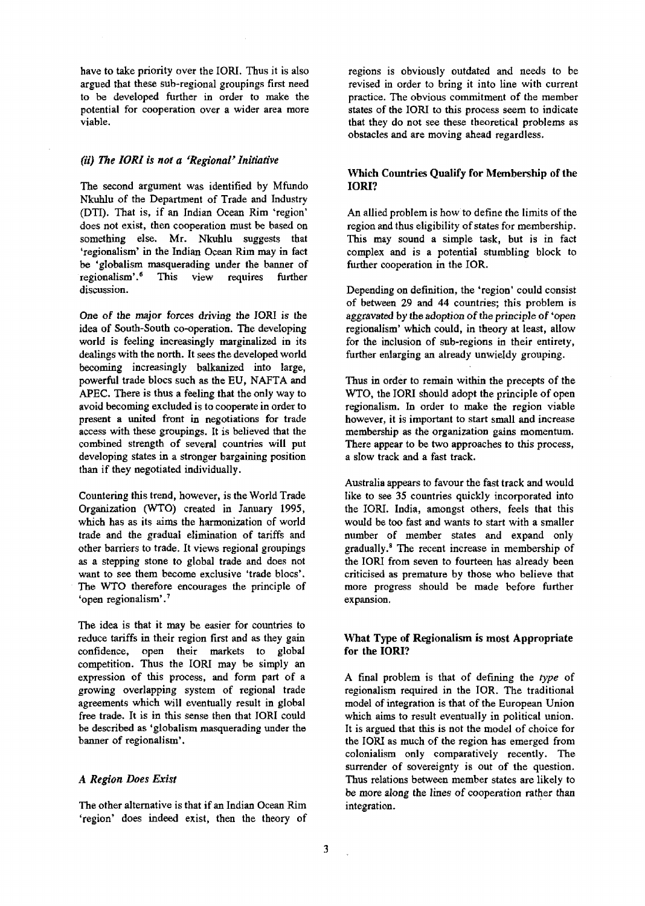have to take priority over the IORI. Thus it is also argued that these sub-regional groupings first need to be developed further in order to make the potential for cooperation over a wider area more viable.

#### *(ii) The IORI is not a 'Regional' Initiative*

The second argument was identified by Mfundo Nkuhlu of the Department of Trade and Industry (DTI). That is, if an Indian Ocean Rim 'region' does not exist, then cooperation must be based on something else. Mr. Nkuhlu suggests that 'regionalism' in the Indian Ocean Rim may in fact be 'globalism masquerading under the banner of regionalism'.<sup>6</sup> This view requires further discussion.

One of the *major* forces driving the IORI is the idea of South-South co-operation. The developing world is feeling increasingly marginalized in its dealings with the north. It sees the developed world becoming increasingly balkanized into large, powerful trade blocs such as the EU, NAFTA and APEC. There is thus **a** feeling that the only way to avoid becoming excluded is to cooperate in order to present a united front in negotiations for trade access with these groupings. It is believed that the combined strength of several countries will put developing states in a stronger bargaining position than if they negotiated individually.

Countering this trend, however, is the World Trade Organization (WTO) created in January 1995, which has as its aims the harmonization of world trade and the gradual elimination of tariffs and other barriers to trade. It views regional groupings as a stepping stone to global trade and does not want to see them become exclusive 'trade blocs'. The WTO therefore encourages the principle of 'open regionalism'.<sup>7</sup>

The idea is that it may be easier for countries to reduce tariffs in their region first and as they gain confidence, open their markets to global competition. Thus the IORI may be simply an expression of this process, and form part of a growing overlapping system of regional trade agreements which will eventually result in global free trade. It is in this sense then that IORI could be described as 'globalism masquerading under the banner of regionalism'.

#### A *Region Does Exist*

The other alternative is that if an Indian Ocean Rim 'region' does indeed exist, then the theory of regions is obviously outdated and needs to be revised in order to bring it into line with current practice. The obvious commitment of the member states of the IORI to this process seem to indicate that they do not see these theoretical problems as obstacles and are moving ahead regardless.

# **Which Countries Qualify for Membership of the IORI?**

An allied problem is how to define the limits of the region and thus eligibility of states for membership. This may sound a simple task, but is in fact complex and is a potential stumbling block to further cooperation in the IOR.

Depending on definition, the 'region' could consist of between 29 and 44 countries; this problem is *aggravated* by *the adoption of the principle* of *'open* regionalism' which could, in theory at least, allow for the inclusion of sub-regions in their entirety, further enlarging an already unwieldy grouping.

Thus in order to remain within the precepts of the WTO, the IORI should adopt the principle of open regionalism. In order to make the region viable however, it is important to start small and increase membership as the organization gains momentum. There appear to be two approaches to this process, a slow track and a fast track.

Australia appears to favour the fast track and would like to see 35 countries quickly incorporated into the IORI. India, amongst others, feels that this would be too fast and wants to start with a smaller number of member states and expand only gradually.<sup>8</sup> The recent increase in membership of the IORI from seven to fourteen has already been criticised as premature by those who believe that more progress should be made before further expansion.

# **What Type of Regionalism is most Appropriate for the IORI?**

A final problem is that of defining the *type* of regionalism required in the IOR. The traditional model of integration is that of the European Union which aims to result eventually in political union. It is argued that this is not the model of choice for the IORI as much of the region has emerged from colonialism only comparatively recently. The surrender of sovereignty is out of the question. Thus relations between member states are likely to be more along the lines of cooperation rather than integration.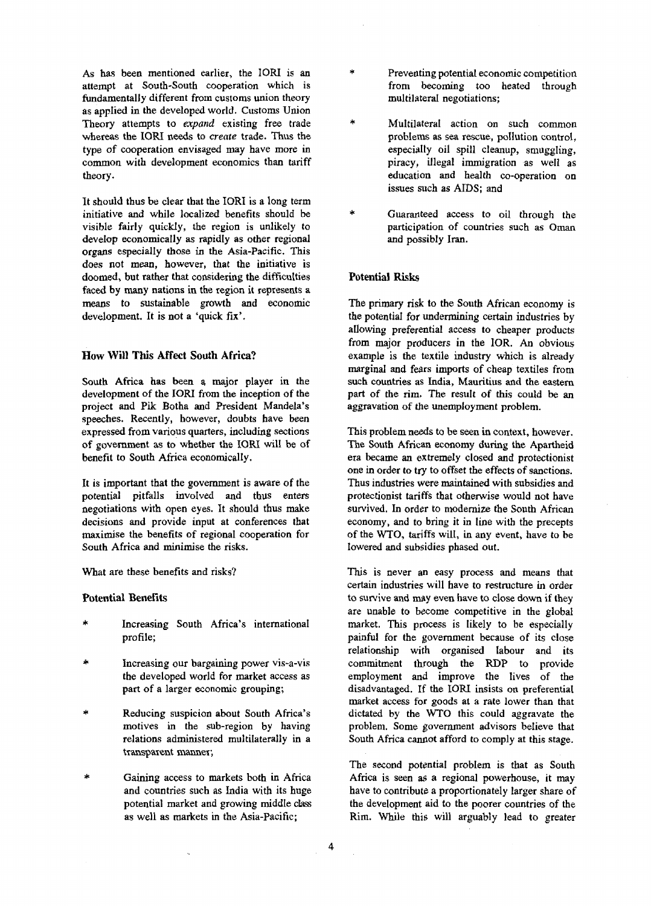As has been mentioned earlier, the IORI is an attempt at South-South cooperation which is fundamentally different from customs union theory as applied in the developed world. Customs Union Theory attempts to *expand* existing free trade whereas the IORI needs to *create* trade. Thus the type of cooperation envisaged may have more in common with development economics than tariff theory.

It should thus be clear that the IORI is a long term initiative and while localized benefits should be visible fairly quickly, the region is unlikely to develop economically as rapidly as other regional organs especially those in the Asia-Pacific. This does not mean, however, that the initiative is doomed, but rather that considering the difficulties faced by many nations in the region it represents a means to sustainable growth and economic development. It is not a 'quick fix'.

# **How Will This Affect South** Africa?

South Africa has been a major player in the development of the IORI from the inception of the project and Pik Botha and President Mandela's speeches. Recently, however, doubts have been expressed from various quarters, including sections of government as to whether the IORI will be of benefit to South Africa economically.

It is important that the government is aware of the potential pitfalls involved and thus enters negotiations with open eyes. It should thus make decisions and provide input at conferences that maximise the benefits of regional cooperation for South Africa and minimise the risks.

What are these benefits and risks?

#### **Potential Benefits**

- Increasing South Africa's international profile;
- Increasing our bargaining power vis-a-vis the developed world for market access as part of a larger economic grouping;
- Reducing suspicion about South Africa's motives in the sub-region by having relations administered multilaterally in a transparent manner;
- Gaining access to markets both in Africa and countries such as India with its huge potential market and growing middle class as well as markets in the Asia-Pacific;
- Preventing potential economic competition from becoming too heated through multilateral negotiations;
- Multilateral action on such common problems as sea rescue, pollution control, especially oil spill cleanup, smuggling, piracy, illegal immigration as well as education and health co-operation on issues such as AIDS; and
- Guaranteed access to oil through the participation of countries such as Oman and possibly Iran.

# **Potential** Risks

The primary risk to the South African economy is the potential for undermining certain industries by allowing preferential access to cheaper products from major producers in the IOR. An obvious example is the textile industry which is already marginal and fears imports of cheap textiles from such countries as India, Mauritius and the eastern part of the rim. The result of this could be an aggravation of the unemployment problem.

This problem needs to be seen in context, however. The South African economy during the Apartheid era became an extremely closed and protectionist one in order to try to offset the effects of sanctions. Thus industries were maintained with subsidies and protectionist tariffs that otherwise would not have survived. In order to modernize the South African economy, and to bring it in line with the precepts of the WTO, tariffs will, in any event, have to be lowered and subsidies phased out.

This is never an easy process and means that certain industries will have to restructure in order to survive and may even have to close down if they are unable to become competitive in the global market. This process is likely to be especially painful for the government because of its close relationship with organised labour and its commitment through the RDP to provide employment and improve the lives of the disadvantaged. If the IORI insists on preferential market access for goods at a rate lower than that dictated by the WTO this could aggravate the problem. Some government advisors believe that South Africa cannot afford to comply at this stage.

The second potential problem is that as South Africa is seen as a regional powerhouse, it may have to contribute a proportionately larger share of the development aid to the poorer countries of the Rim. While this will arguably lead to greater